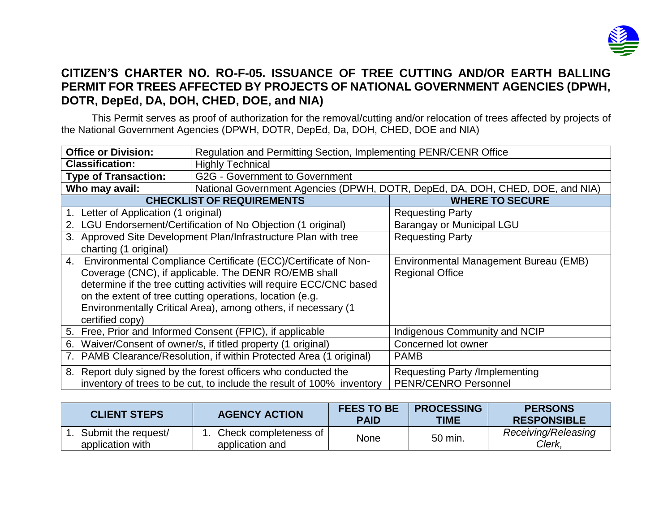

## **CITIZEN'S CHARTER NO. RO-F-05. ISSUANCE OF TREE CUTTING AND/OR EARTH BALLING PERMIT FOR TREES AFFECTED BY PROJECTS OF NATIONAL GOVERNMENT AGENCIES (DPWH, DOTR, DepEd, DA, DOH, CHED, DOE, and NIA)**

This Permit serves as proof of authorization for the removal/cutting and/or relocation of trees affected by projects of the National Government Agencies (DPWH, DOTR, DepEd, Da, DOH, CHED, DOE and NIA)

| <b>Office or Division:</b>                                            | Regulation and Permitting Section, Implementing PENR/CENR Office              |                                       |  |  |
|-----------------------------------------------------------------------|-------------------------------------------------------------------------------|---------------------------------------|--|--|
| <b>Classification:</b>                                                | <b>Highly Technical</b>                                                       |                                       |  |  |
| <b>Type of Transaction:</b>                                           | <b>G2G - Government to Government</b>                                         |                                       |  |  |
| Who may avail:                                                        | National Government Agencies (DPWH, DOTR, DepEd, DA, DOH, CHED, DOE, and NIA) |                                       |  |  |
|                                                                       | <b>CHECKLIST OF REQUIREMENTS</b>                                              | <b>WHERE TO SECURE</b>                |  |  |
| Letter of Application (1 original)                                    |                                                                               | <b>Requesting Party</b>               |  |  |
| LGU Endorsement/Certification of No Objection (1 original)<br>2.      |                                                                               | Barangay or Municipal LGU             |  |  |
| 3. Approved Site Development Plan/Infrastructure Plan with tree       |                                                                               | <b>Requesting Party</b>               |  |  |
| charting (1 original)                                                 |                                                                               |                                       |  |  |
| 4. Environmental Compliance Certificate (ECC)/Certificate of Non-     |                                                                               | Environmental Management Bureau (EMB) |  |  |
| Coverage (CNC), if applicable. The DENR RO/EMB shall                  |                                                                               | <b>Regional Office</b>                |  |  |
|                                                                       | determine if the tree cutting activities will require ECC/CNC based           |                                       |  |  |
|                                                                       | on the extent of tree cutting operations, location (e.g.                      |                                       |  |  |
|                                                                       | Environmentally Critical Area), among others, if necessary (1                 |                                       |  |  |
| certified copy)                                                       |                                                                               |                                       |  |  |
|                                                                       | 5. Free, Prior and Informed Consent (FPIC), if applicable                     | Indigenous Community and NCIP         |  |  |
| Waiver/Consent of owner/s, if titled property (1 original)<br>6.      |                                                                               | Concerned lot owner                   |  |  |
| 7.                                                                    | PAMB Clearance/Resolution, if within Protected Area (1 original)              | <b>PAMB</b>                           |  |  |
| 8. Report duly signed by the forest officers who conducted the        |                                                                               | <b>Requesting Party /Implementing</b> |  |  |
| inventory of trees to be cut, to include the result of 100% inventory |                                                                               | <b>PENR/CENRO Personnel</b>           |  |  |

| <b>CLIENT STEPS</b>                     | <b>AGENCY ACTION</b>                     | <b>FEES TO BE</b><br><b>PAID</b> | <b>PROCESSING</b><br>TIME | <b>PERSONS</b><br><b>RESPONSIBLE</b> |
|-----------------------------------------|------------------------------------------|----------------------------------|---------------------------|--------------------------------------|
| Submit the request/<br>application with | Check completeness of<br>application and | None                             | 50 min.                   | Receiving/Releasing<br>Clerk.        |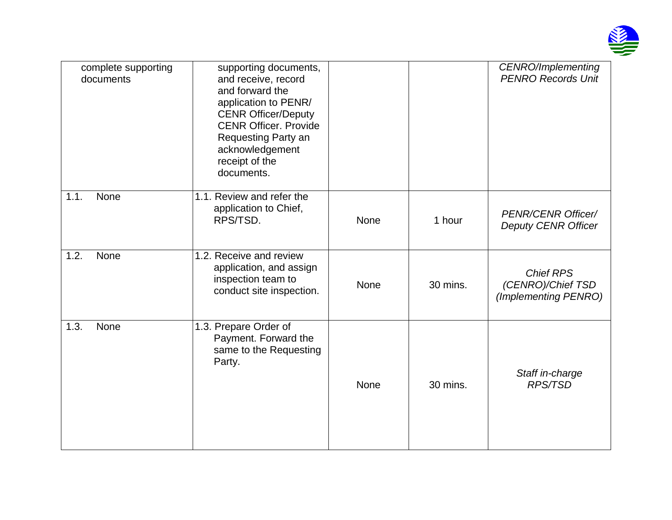

| complete supporting<br>documents | supporting documents,<br>and receive, record<br>and forward the<br>application to PENR/<br><b>CENR Officer/Deputy</b><br><b>CENR Officer, Provide</b><br>Requesting Party an<br>acknowledgement<br>receipt of the<br>documents. |             |          | <b>CENRO/Implementing</b><br><b>PENRO Records Unit</b>        |
|----------------------------------|---------------------------------------------------------------------------------------------------------------------------------------------------------------------------------------------------------------------------------|-------------|----------|---------------------------------------------------------------|
| None<br>1.1.                     | 1.1. Review and refer the<br>application to Chief,<br>RPS/TSD.                                                                                                                                                                  | None        | 1 hour   | <b>PENR/CENR Officer/</b><br><b>Deputy CENR Officer</b>       |
| 1.2.<br>None                     | 1.2. Receive and review<br>application, and assign<br>inspection team to<br>conduct site inspection.                                                                                                                            | <b>None</b> | 30 mins. | <b>Chief RPS</b><br>(CENRO)/Chief TSD<br>(Implementing PENRO) |
| 1.3.<br><b>None</b>              | 1.3. Prepare Order of<br>Payment. Forward the<br>same to the Requesting<br>Party.                                                                                                                                               | None        | 30 mins. | Staff in-charge<br><b>RPS/TSD</b>                             |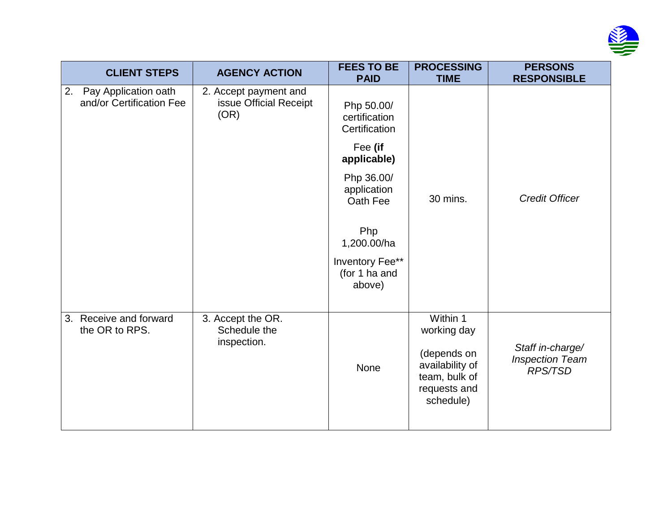

| <b>CLIENT STEPS</b>                                    | <b>AGENCY ACTION</b>                                    | <b>FEES TO BE</b><br><b>PAID</b>                                                                                                                                                    | <b>PROCESSING</b><br><b>TIME</b>                                                                        | <b>PERSONS</b><br><b>RESPONSIBLE</b>                         |
|--------------------------------------------------------|---------------------------------------------------------|-------------------------------------------------------------------------------------------------------------------------------------------------------------------------------------|---------------------------------------------------------------------------------------------------------|--------------------------------------------------------------|
| Pay Application oath<br>2.<br>and/or Certification Fee | 2. Accept payment and<br>issue Official Receipt<br>(OR) | Php 50.00/<br>certification<br>Certification<br>Fee (if<br>applicable)<br>Php 36.00/<br>application<br>Oath Fee<br>Php<br>1,200.00/ha<br>Inventory Fee**<br>(for 1 ha and<br>above) | 30 mins.                                                                                                | <b>Credit Officer</b>                                        |
| 3. Receive and forward<br>the OR to RPS.               | 3. Accept the OR.<br>Schedule the<br>inspection.        | None                                                                                                                                                                                | Within 1<br>working day<br>(depends on<br>availability of<br>team, bulk of<br>requests and<br>schedule) | Staff in-charge/<br><b>Inspection Team</b><br><b>RPS/TSD</b> |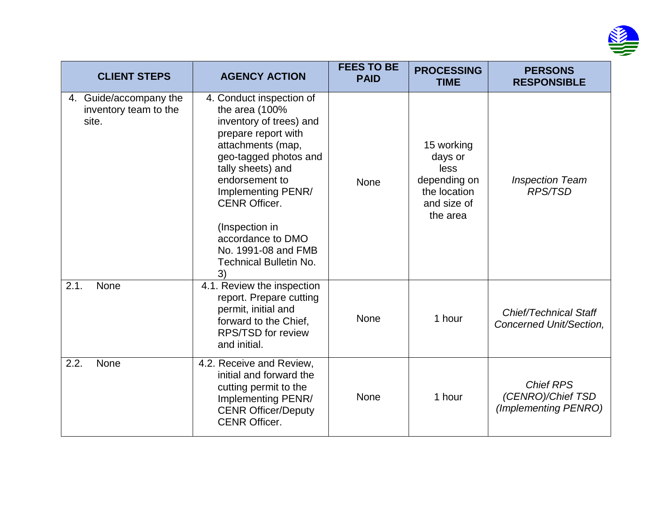

| <b>CLIENT STEPS</b>                                      | <b>AGENCY ACTION</b>                                                                                                                                                                                                                                                                                                                 | <b>FEES TO BE</b><br><b>PAID</b> | <b>PROCESSING</b><br><b>TIME</b>                                                         | <b>PERSONS</b><br><b>RESPONSIBLE</b>                          |
|----------------------------------------------------------|--------------------------------------------------------------------------------------------------------------------------------------------------------------------------------------------------------------------------------------------------------------------------------------------------------------------------------------|----------------------------------|------------------------------------------------------------------------------------------|---------------------------------------------------------------|
| 4. Guide/accompany the<br>inventory team to the<br>site. | 4. Conduct inspection of<br>the area (100%<br>inventory of trees) and<br>prepare report with<br>attachments (map,<br>geo-tagged photos and<br>tally sheets) and<br>endorsement to<br>Implementing PENR/<br><b>CENR Officer.</b><br>(Inspection in<br>accordance to DMO<br>No. 1991-08 and FMB<br><b>Technical Bulletin No.</b><br>3) | None                             | 15 working<br>days or<br>less<br>depending on<br>the location<br>and size of<br>the area | <b>Inspection Team</b><br><b>RPS/TSD</b>                      |
| 2.1.<br><b>None</b>                                      | 4.1. Review the inspection<br>report. Prepare cutting<br>permit, initial and<br>forward to the Chief,<br><b>RPS/TSD for review</b><br>and initial.                                                                                                                                                                                   | None                             | 1 hour                                                                                   | <b>Chief/Technical Staff</b><br>Concerned Unit/Section,       |
| 2.2.<br><b>None</b>                                      | 4.2. Receive and Review,<br>initial and forward the<br>cutting permit to the<br>Implementing PENR/<br><b>CENR Officer/Deputy</b><br><b>CENR Officer.</b>                                                                                                                                                                             | None                             | 1 hour                                                                                   | <b>Chief RPS</b><br>(CENRO)/Chief TSD<br>(Implementing PENRO) |